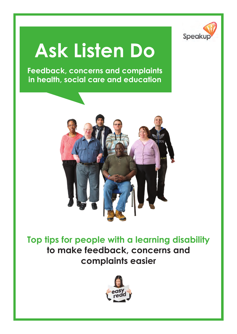

# **Ask Listen Do**

**Feedback, concerns and complaints in health, social care and education**



**Top tips for people with a learning disability to make feedback, concerns and complaints easier**

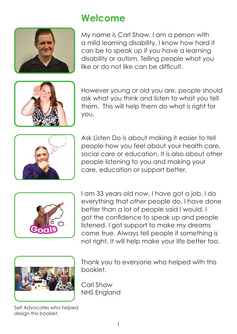

### **Welcome**

My name is Carl Shaw, I am a person with a mild learning disability. I know how hard it can be to speak up if you have a learning disability or autism. Telling people what you like or do not like can be difficult.



However young or old you are, people should ask what you think and listen to what you tell them. This will help them do what is right for you.



Ask Listen Do is about making it easier to tell people how you feel about your health care, social care or education. It is also about other people listening to you and making your care, education or support better.



I am 33 years old now. I have got a job, I do everything that other people do. I have done better than a lot of people said I would. I got the confidence to speak up and people listened. I got support to make my dreams come true. Always tell people if something is not right. It will help make your life better too.



Thank you to everyone who helped with this booklet.

Carl Shaw NHS England

Self Advocates who helped design this booklet.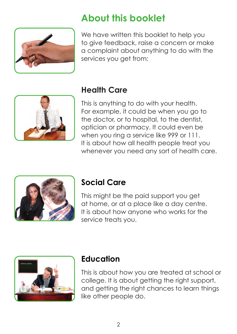

### **About this booklet**

We have written this booklet to help you to give feedback, raise a concern or make a complaint about anything to do with the services you get from:



#### **Health Care**

This is anything to do with your health. For example, it could be when you go to the doctor, or to hospital, to the dentist, optician or pharmacy. It could even be when you ring a service like 999 or 111. It is about how all health people treat you whenever you need any sort of health care.



#### **Social Care**

This might be the paid support you get at home, or at a place like a day centre. It is about how anyone who works for the service treats you.



#### **Education**

This is about how you are treated at school or college. It is about getting the right support, and getting the right chances to learn things like other people do.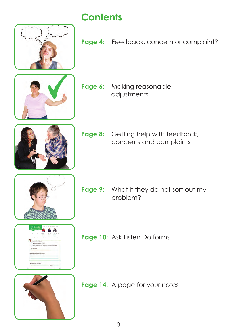

### **Contents**

Page 4: Feedback, concern or complaint?



**Page 6:** Making reasonable adjustments



Page 8: Getting help with feedback, concerns and complaints





- **Page 9:** What if they do not sort out my problem?
- **Page 10:** Ask Listen Do forms

**Page 14:** A page for your notes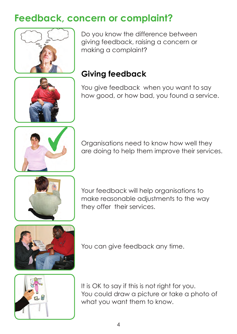### **Feedback, concern or complaint?**



Do you know the difference between giving feedback, raising a concern or making a complaint?

### **Giving feedback**

You give feedback when you want to say how good, or how bad, you found a service.



Organisations need to know how well they are doing to help them improve their services.



Your feedback will help organisations to make reasonable adjustments to the way they offer their services.





You can give feedback any time.

It is OK to say if this is not right for you. You could draw a picture or take a photo of what you want them to know.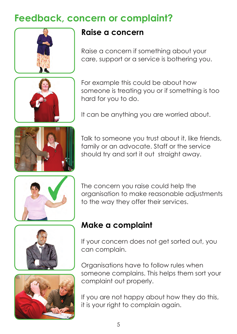### **Feedback, concern or complaint?**





#### **Raise a concern**

Raise a concern if something about your care, support or a service is bothering you.

For example this could be about how someone is treating you or if something is too hard for you to do.

It can be anything you are worried about.



Talk to someone you trust about it, like friends, family or an advocate. Staff or the service should try and sort it out straight away.







The concern you raise could help the organisation to make reasonable adjustments to the way they offer their services.

#### **Make a complaint**

If your concern does not get sorted out, you can complain.

Organisations have to follow rules when someone complains. This helps them sort your complaint out properly.

If you are not happy about how they do this, it is your right to complain again.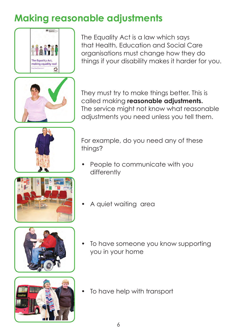### **Making reasonable adjustments**



The Equality Act is a law which says that Health, Education and Social Care organisations must change how they do things if your disability makes it harder for you.



They must try to make things better. This is called making **reasonable adjustments.**  The service might not know what reasonable adjustments you need unless you tell them.









For example, do you need any of these things?

- People to communicate with you differently
- A quiet waiting area
- To have someone you know supporting you in your home
- To have help with transport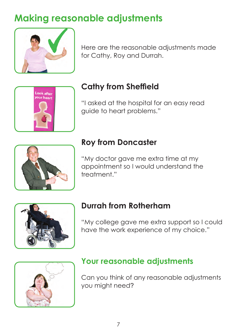### **Making reasonable adjustments**



Here are the reasonable adjustments made for Cathy, Roy and Durrah.



### **Cathy from Sheffield**

"I asked at the hospital for an easy read guide to heart problems."



### **Roy from Doncaster**

"My doctor gave me extra time at my appointment so I would understand the treatment."



#### **Durrah from Rotherham**

"My college gave me extra support so I could have the work experience of my choice."



#### **Your reasonable adjustments**

Can you think of any reasonable adjustments you might need?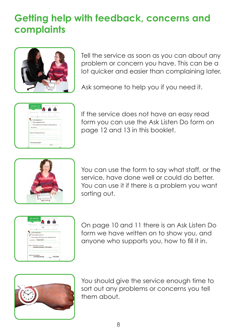### **Getting help with feedback, concerns and complaints**



Tell the service as soon as you can about any problem or concern you have. This can be a lot quicker and easier than complaining later.

Ask someone to help you if you need it.



If the service does not have an easy read form you can use the Ask Listen Do form on page 12 and 13 in this booklet.



You can use the form to say what staff, or the service, have done well or could do better. You can use it if there is a problem you want sorting out.



On page 10 and 11 there is an Ask Listen Do form we have written on to show you, and anyone who supports you, how to fill it in.



You should give the service enough time to sort out any problems or concerns you tell them about.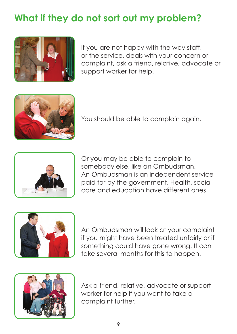### **What if they do not sort out my problem?**



If you are not happy with the way staff, or the service, deals with your concern or complaint, ask a friend, relative, advocate or support worker for help.



You should be able to complain again.



Or you may be able to complain to somebody else, like an Ombudsman. An Ombudsman is an independent service paid for by the government. Health, social care and education have different ones.



An Ombudsman will look at your complaint if you might have been treated unfairly or if something could have gone wrong. It can take several months for this to happen.



Ask a friend, relative, advocate or support worker for help if you want to take a complaint further.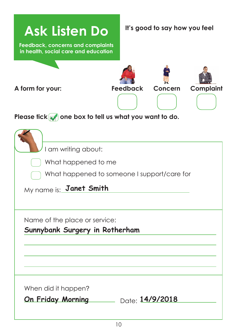| <b>Ask Listen Do</b><br><b>Feedback, concerns and complaints</b><br>in health, social care and education             |                 | It's good to say how you feel |                  |
|----------------------------------------------------------------------------------------------------------------------|-----------------|-------------------------------|------------------|
| A form for your:<br>Please fick $\sim$ one box to tell us what you want to do.                                       | <b>Feedback</b> | <b>Concern</b>                | <b>Complaint</b> |
| I am writing about:<br>What happened to me<br>What happened to someone I support/care for<br>My name is: Janet Smith |                 |                               |                  |
| Name of the place or service:<br>Sunnybank Surgery in Rotherham                                                      |                 |                               |                  |
| When did it happen?<br>On Friday Morning Date: 14/9/2018                                                             |                 |                               |                  |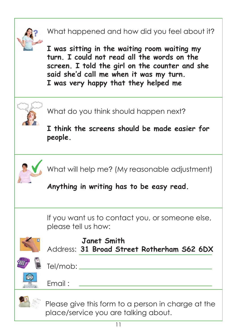

### What happened and how did you feel about it?

**I was sitting in the waiting room waiting my turn. I could not read all the words on the screen. I told the girl on the counter and she said she'd call me when it was my turn. I was very happy that they helped me** 



What do you think should happen next?

**I think the screens should be made easier for people.** 



What will help me? (My reasonable adjustment)

**Anything in writing has to be easy read.** 

If you want us to contact you, or someone else, please tell us how:



#### **Janet Smith**  Address: **31 Broad Street Rotherham S62 6DX**



Tel/mob:

Email :

 Please give this form to a person in charge at the place/service you are talking about.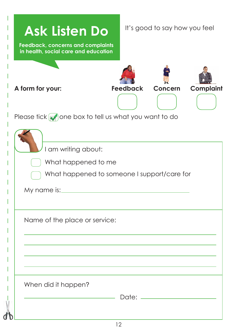| <b>Ask Listen Do</b><br><b>Feedback, concerns and complaints</b><br>in health, social care and education | It's good to say how you feel |                |                  |
|----------------------------------------------------------------------------------------------------------|-------------------------------|----------------|------------------|
| A form for your:<br>Please tick $\sqrt{\ }$ one box to tell us what you want to do                       | <b>Feedback</b>               | <b>Concern</b> | <b>Complaint</b> |
| I am writing about:<br>What happened to me<br>What happened to someone I support/care for<br>My name is: |                               |                |                  |
| Name of the place or service:                                                                            |                               |                |                  |
| When did it happen?                                                                                      |                               |                |                  |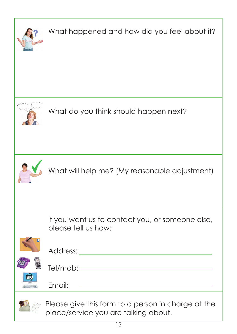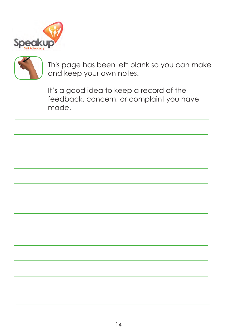



This page has been left blank so you can make and keep your own notes.

It's a good idea to keep a record of the feedback, concern, or complaint you have made.